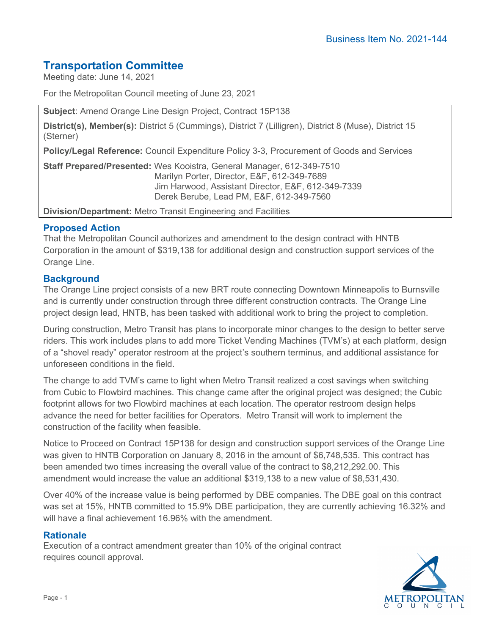# **Transportation Committee**

Meeting date: June 14, 2021

For the Metropolitan Council meeting of June 23, 2021

**Subject**: Amend Orange Line Design Project, Contract 15P138

**District(s), Member(s):** District 5 (Cummings), District 7 (Lilligren), District 8 (Muse), District 15 (Sterner)

**Policy/Legal Reference:** Council Expenditure Policy 3-3, Procurement of Goods and Services

**Staff Prepared/Presented:** Wes Kooistra, General Manager, 612-349-7510 Marilyn Porter, Director, E&F, 612-349-7689 Jim Harwood, Assistant Director, E&F, 612-349-7339 Derek Berube, Lead PM, E&F, 612-349-7560

**Division/Department:** Metro Transit Engineering and Facilities

### **Proposed Action**

That the Metropolitan Council authorizes and amendment to the design contract with HNTB Corporation in the amount of \$319,138 for additional design and construction support services of the Orange Line.

### **Background**

The Orange Line project consists of a new BRT route connecting Downtown Minneapolis to Burnsville and is currently under construction through three different construction contracts. The Orange Line project design lead, HNTB, has been tasked with additional work to bring the project to completion.

During construction, Metro Transit has plans to incorporate minor changes to the design to better serve riders. This work includes plans to add more Ticket Vending Machines (TVM's) at each platform, design of a "shovel ready" operator restroom at the project's southern terminus, and additional assistance for unforeseen conditions in the field.

The change to add TVM's came to light when Metro Transit realized a cost savings when switching from Cubic to Flowbird machines. This change came after the original project was designed; the Cubic footprint allows for two Flowbird machines at each location. The operator restroom design helps advance the need for better facilities for Operators. Metro Transit will work to implement the construction of the facility when feasible.

Notice to Proceed on Contract 15P138 for design and construction support services of the Orange Line was given to HNTB Corporation on January 8, 2016 in the amount of \$6,748,535. This contract has been amended two times increasing the overall value of the contract to \$8,212,292.00. This amendment would increase the value an additional \$319,138 to a new value of \$8,531,430.

Over 40% of the increase value is being performed by DBE companies. The DBE goal on this contract was set at 15%, HNTB committed to 15.9% DBE participation, they are currently achieving 16.32% and will have a final achievement 16.96% with the amendment.

### **Rationale**

Execution of a contract amendment greater than 10% of the original contract requires council approval.